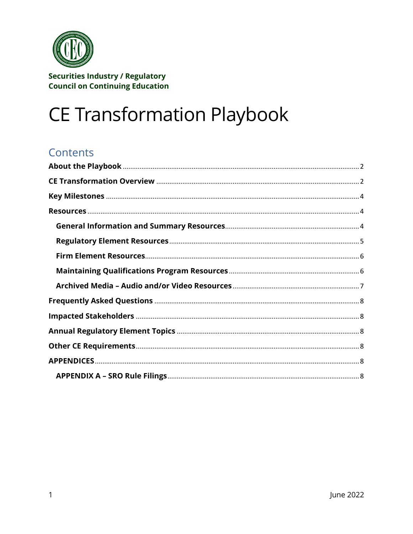

# **CE Transformation Playbook**

# **Contents**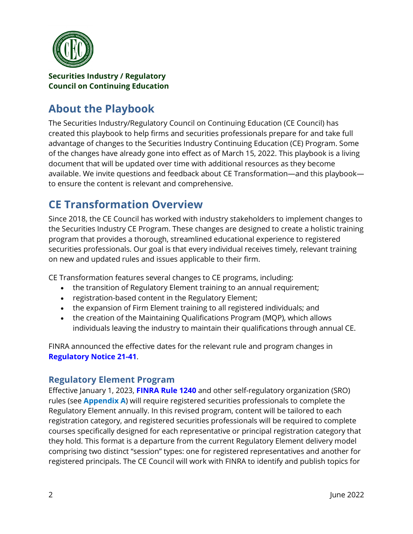

# <span id="page-1-0"></span>**About the Playbook**

The Securities Industry/Regulatory Council on Continuing Education (CE Council) has created this playbook to help firms and securities professionals prepare for and take full advantage of changes to the Securities Industry Continuing Education (CE) Program. Some of the changes have already gone into effect as of March 15, 2022. This playbook is a living document that will be updated over time with additional resources as they become available. We invite questions and feedback about CE Transformation—and this playbook to ensure the content is relevant and comprehensive.

# <span id="page-1-1"></span>**CE Transformation Overview**

Since 2018, the CE Council has worked with industry stakeholders to implement changes to the Securities Industry CE Program. These changes are designed to create a holistic training program that provides a thorough, streamlined educational experience to registered securities professionals. Our goal is that every individual receives timely, relevant training on new and updated rules and issues applicable to their firm.

CE Transformation features several changes to CE programs, including:

- the transition of Regulatory Element training to an annual requirement;
- registration-based content in the Regulatory Element;
- the expansion of Firm Element training to all registered individuals; and
- the creation of the Maintaining Qualifications Program (MQP), which allows individuals leaving the industry to maintain their qualifications through annual CE.

FINRA announced the effective dates for the relevant rule and program changes in **[Regulatory Notice 21-41](https://www.finra.org/rules-guidance/notices/21-41)**.

### **Regulatory Element Program**

Effective January 1, 2023, **[FINRA Rule 1240](https://www.finra.org/rules-guidance/rulebooks/finra-rules/1240)** and other self-regulatory organization (SRO) rules (see **Appendix A**) will require registered securities professionals to complete the Regulatory Element annually. In this revised program, content will be tailored to each registration category, and registered securities professionals will be required to complete courses specifically designed for each representative or principal registration category that they hold. This format is a departure from the current Regulatory Element delivery model comprising two distinct "session" types: one for registered representatives and another for registered principals. The CE Council will work with FINRA to identify and publish topics for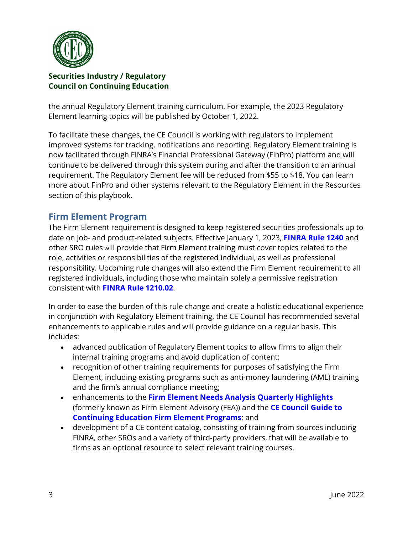

the annual Regulatory Element training curriculum. For example, the 2023 Regulatory Element learning topics will be published by October 1, 2022.

To facilitate these changes, the CE Council is working with regulators to implement improved systems for tracking, notifications and reporting. Regulatory Element training is now facilitated through FINRA's Financial Professional Gateway (FinPro) platform and will continue to be delivered through this system during and after the transition to an annual requirement. The Regulatory Element fee will be reduced from \$55 to \$18. You can learn more about FinPro and other systems relevant to the Regulatory Element in the Resources section of this playbook.

### **Firm Element Program**

The Firm Element requirement is designed to keep registered securities professionals up to date on job- and product-related subjects. Effective January 1, 2023, **[FINRA Rule 1240](https://www.finra.org/rules-guidance/rulebooks/finra-rules/1240)** and other SRO rules will provide that Firm Element training must cover topics related to the role, activities or responsibilities of the registered individual, as well as professional responsibility. Upcoming rule changes will also extend the Firm Element requirement to all registered individuals, including those who maintain solely a permissive registration consistent with **[FINRA Rule 1210.02](https://www.finra.org/rules-guidance/rulebooks/finra-rules/1210)**.

In order to ease the burden of this rule change and create a holistic educational experience in conjunction with Regulatory Element training, the CE Council has recommended several enhancements to applicable rules and will provide guidance on a regular basis. This includes:

- advanced publication of Regulatory Element topics to allow firms to align their internal training programs and avoid duplication of content;
- recognition of other training requirements for purposes of satisfying the Firm Element, including existing programs such as anti-money laundering (AML) training and the firm's annual compliance meeting;
- enhancements to the **[Firm Element Needs Analysis Quarterly Highlights](http://cecouncil.org/media/266885/firm-element-quarterly-highlights-final.pdf)** (formerly known as Firm Element Advisory (FEA)) and the **[CE Council Guide to](http://www.cecouncil.org/media/266883/ce-council-guide-to-firm-element-continuing-education-programs.pdf)  [Continuing Education Firm Element Programs](http://www.cecouncil.org/media/266883/ce-council-guide-to-firm-element-continuing-education-programs.pdf)**; and
- development of a CE content catalog, consisting of training from sources including FINRA, other SROs and a variety of third-party providers, that will be available to firms as an optional resource to select relevant training courses.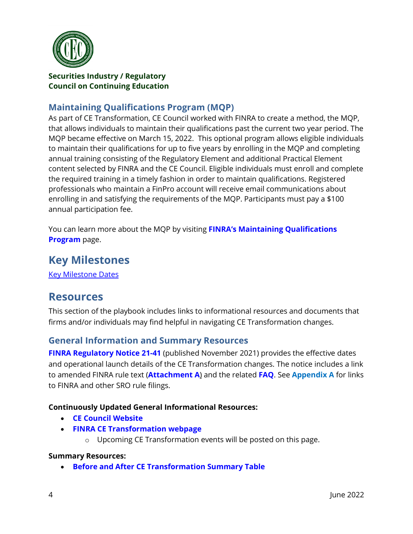

### **Maintaining Qualifications Program (MQP)**

As part of CE Transformation, CE Council worked with FINRA to create a method, the MQP, that allows individuals to maintain their qualifications past the current two year period. The MQP became effective on March 15, 2022. This optional program allows eligible individuals to maintain their qualifications for up to five years by enrolling in the MQP and completing annual training consisting of the Regulatory Element and additional Practical Element content selected by FINRA and the CE Council. Eligible individuals must enroll and complete the required training in a timely fashion in order to maintain qualifications. Registered professionals who maintain a FinPro account will receive email communications about enrolling in and satisfying the requirements of the MQP. Participants must pay a \$100 annual participation fee.

You can learn more about the MQP by visiting **[FINRA's Maintaining Qualifications](http://www.finra.org/mqp)  [Program](http://www.finra.org/mqp)** page.

# <span id="page-3-0"></span>**Key Milestones**

[Key Milestone Dates](http://cecouncil.org/media/266884/cet-milestones.pdf)

# <span id="page-3-1"></span>**Resources**

This section of the playbook includes links to informational resources and documents that firms and/or individuals may find helpful in navigating CE Transformation changes.

### <span id="page-3-2"></span>**General Information and Summary Resources**

**[FINRA Regulatory Notice 21-41](https://www.finra.org/rules-guidance/notices/21-41)** (published November 2021) provides the effective dates and operational launch details of the CE Transformation changes. The notice includes a link to amended FINRA rule text (**[Attachment A](https://www.finra.org/sites/default/files/2021-11/Regulatory-Notice-21-41-attachment-a.pdf)**) and the related **[FAQ](https://www.finra.org/registration-exams-ce/continuing-education/ce-transformation-faq)**. See **Appendix A** for links to FINRA and other SRO rule filings.

#### **Continuously Updated General Informational Resources:**

- **[CE Council Website](http://www.cecouncil.org/)**
- **[FINRA CE Transformation webpage](http://www.finra.org/cet)**
	- o Upcoming CE Transformation events will be posted on this page.

#### **Summary Resources:**

• **[Before and After CE Transformation Summary Table](https://www.finra.org/sites/default/files/2022-05/CE_Transformation_Before_and_After.pdf)**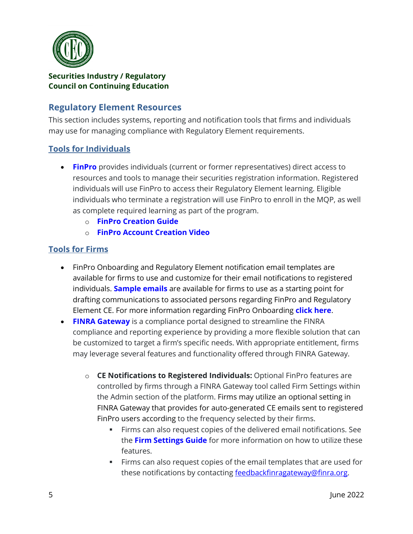

### <span id="page-4-0"></span>**Regulatory Element Resources**

This section includes systems, reporting and notification tools that firms and individuals may use for managing compliance with Regulatory Element requirements.

### **Tools for Individuals**

- **[FinPro](https://www.finra.org/registration-exams-ce/finpro)** provides individuals (current or former representatives) direct access to resources and tools to manage their securities registration information. Registered individuals will use FinPro to access their Regulatory Element learning. Eligible individuals who terminate a registration will use FinPro to enroll in the MQP, as well as complete required learning as part of the program.
	- o **[FinPro Creation Guide](https://www.finra.org/sites/default/files/2019-09/FinPro_Guide.pdf)**
	- o **[FinPro Account Creation Video](https://www.finra.org/registration-exams-ce/finpro/account-video-tutorial)**

#### **Tools for Firms**

- FinPro Onboarding and Regulatory Element notification email templates are available for firms to use and customize for their email notifications to registered individuals. **[Sample emails](https://www.finra.org/sites/default/files/2019-09/FinPro_Email_Templates.pdf)** are available for firms to use as a starting point for drafting communications to associated persons regarding FinPro and Regulatory Element CE. For more information regarding FinPro Onboarding **[click here](https://www.finra.org/registration-exams-ce/finpro/for-firms#FinPro_OnboardSupport)**.
- **[FINRA Gateway](https://www.finra.org/filing-reporting/finra-gateway)** is a compliance portal designed to streamline the FINRA compliance and reporting experience by providing a more flexible solution that can be customized to target a firm's specific needs. With appropriate entitlement, firms may leverage several features and functionality offered through FINRA Gateway.
	- o **CE Notifications to Registered Individuals:** Optional FinPro features are controlled by firms through a FINRA Gateway tool called Firm Settings within the Admin section of the platform. Firms may utilize an optional setting in FINRA Gateway that provides for auto-generated CE emails sent to registered FinPro users according to the frequency selected by their firms.
		- Firms can also request copies of the delivered email notifications. See the **[Firm Settings Guide](https://www.finra.org/registration-exams-ce/finpro/for-firms/firm-settings-guide)** for more information on how to utilize these features.
		- Firms can also request copies of the email templates that are used for these notifications by contacting [feedbackfinragateway@finra.org.](mailto:feedbackfinragateway@finra.org)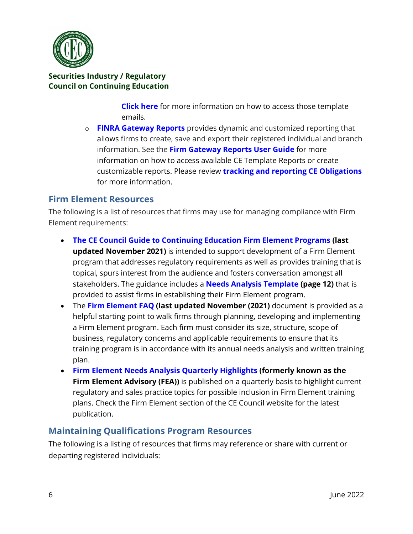

**[Click here](https://www.finra.org/filing-reporting/finra-gateway/notifications-information)** for more information on how to access those template emails.

o **[FINRA Gateway Reports](https://www.finra.org/filing-reporting/finra-gateway/dynamic-reporting)** provides dynamic and customized reporting that allows firms to create, save and export their registered individual and branch information. See the **[Firm Gateway Reports](https://www.finra.org/sites/default/files/2019-10/Dynamic_Reporting_User_Guide.pdf) User Guide** for more information on how to access available CE Template Reports or create customizable reports. Please review **[tracking and reporting CE Obligations](https://www.finra.org/filing-reporting/finra-gateway/dynamic-reporting/ce-obligations)** for more information.

### <span id="page-5-0"></span>**Firm Element Resources**

The following is a list of resources that firms may use for managing compliance with Firm Element requirements:

- **[The CE Council Guide to Continuing Education Firm Element Programs](http://www.cecouncil.org/media/266883/ce-council-guide-to-firm-element-continuing-education-programs.pdf) (last updated November 2021)** is intended to support development of a Firm Element program that addresses regulatory requirements as well as provides training that is topical, spurs interest from the audience and fosters conversation amongst all stakeholders. The guidance includes a **[Needs Analysis Template](http://cecouncil.org/media/266883/ce-council-guide-to-firm-element-continuing-education-programs.pdf) (page 12)** that is provided to assist firms in establishing their Firm Element program.
- The **[Firm Element FAQ](http://www.cecouncil.org/media/266856/ce-council-website-firm-element-faqs.pdf) (last updated November (2021)** document is provided as a helpful starting point to walk firms through planning, developing and implementing a Firm Element program. Each firm must consider its size, structure, scope of business, regulatory concerns and applicable requirements to ensure that its training program is in accordance with its annual needs analysis and written training plan.
- **[Firm Element Needs Analysis Quarterly Highlights](http://cecouncil.org/media/266885/firm-element-quarterly-highlights-final.pdf) (formerly known as the Firm Element Advisory (FEA))** is published on a quarterly basis to highlight current regulatory and sales practice topics for possible inclusion in Firm Element training plans. Check the [Firm Element](http://www.cecouncil.org/firm-element/) section of the CE Council website for the latest publication.

### <span id="page-5-1"></span>**Maintaining Qualifications Program Resources**

The following is a listing of resources that firms may reference or share with current or departing registered individuals: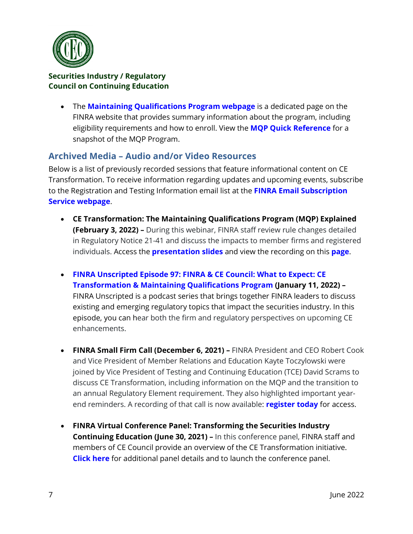

• The **[Maintaining Qualifications Program webpage](http://www.finra.org/mqp)** is a dedicated page on the FINRA website that provides summary information about the program, including eligibility requirements and how to enroll. View the **[MQP Quick Reference](https://www.finra.org/sites/default/files/2022-06/MQP_Quick_Reference.pdf)** for a snapshot of the MQP Program.

### <span id="page-6-0"></span>**Archived Media – Audio and/or Video Resources**

Below is a list of previously recorded sessions that feature informational content on CE Transformation. To receive information regarding updates and upcoming events, subscribe to the Registration and Testing Information email list at the **[FINRA Email Subscription](https://tools.finra.org/email_subscriptions/)  [Service webpage](https://tools.finra.org/email_subscriptions/)**.

- **CE Transformation: The Maintaining Qualifications Program (MQP) Explained (February 3, 2022) –** During this webinar, FINRA staff review rule changes detailed in [Regulatory Notice 21-41](https://www.finra.org/rules-guidance/notices/21-41) and discuss the impacts to member firms and registered individuals. Access the **[presentation slides](https://www.finra.org/sites/default/files/2022-02/MQP-Webinar-Presentation-Slides.pdf)** and view the recording on this **[page](https://www.finra.org/events-training/webinars/registration-system-changes)**.
- **[FINRA Unscripted Episode 97: FINRA & CE Council: What to Expect: CE](https://www.finra.org/media-center/finra-unscripted/continuing-education-mqp)  [Transformation & Maintaining Qualifications Program](https://www.finra.org/media-center/finra-unscripted/continuing-education-mqp) (January 11, 2022) –** FINRA Unscripted is a podcast series that brings together FINRA leaders to discuss existing and emerging regulatory topics that impact the securities industry. In this episode, you can hear both the firm and regulatory perspectives on upcoming CE enhancements.
- **FINRA Small Firm Call (December 6, 2021) –** FINRA President and CEO Robert Cook and Vice President of Member Relations and Education Kayte Toczylowski were joined by Vice President of Testing and Continuing Education (TCE) David Scrams to discuss CE Transformation, including information on the MQP and the transition to an annual Regulatory Element requirement. They also highlighted important yearend reminders. A recording of that call is now available: **[register today](https://www.cvent.com/api/email/dispatch/v1/click/95nlvpxzl8tr5p/wk5xgr4l/aHR0cHMlM0ElMkYlMkZ3d3cuZmlucmEub3JnJTJGZXZlbnRzLXRyYWluaW5nJTJGY29uZmVyZW5jZXMtZXZlbnRzJTJGcGhvbmUtd29ya3Nob3BzJTJGc21hbGwtZmlybS1yZXBvcnQlMkZzbWFsbC1maXJtLWNhbGwtY2UtMTIwNjIxJjdpc2dHOFlxWjdSbnY0UTNSTjZVYW44M2lZNzVBdUNHUmVjR3dlMURLSTglM0QmcmVnaXN0ZXIrdG9kYXk)** for access.
- **FINRA Virtual Conference Panel: Transforming the Securities Industry Continuing Education (June 30, 2021) –** In this conference panel, FINRA staff and members of CE Council provide an overview of the CE Transformation initiative. **[Click here](https://www.finra.org/events-training/virtual-conference-panels/transforming-securities-industry-continuing-education-program)** for additional panel details and to launch the conference panel.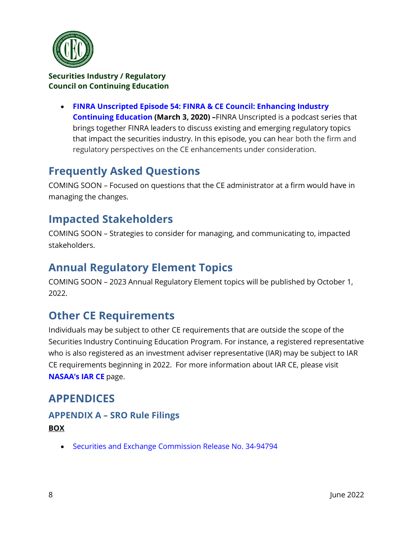

• **[FINRA Unscripted Episode 54: FINRA & CE Council: Enhancing Industry](https://www.finra.org/media-center/finra-unscripted/continuing-education)  [Continuing Education](https://www.finra.org/media-center/finra-unscripted/continuing-education) (March 3, 2020) –**FINRA Unscripted is a podcast series that brings together FINRA leaders to discuss existing and emerging regulatory topics that impact the securities industry. In this episode, you can hear both the firm and regulatory perspectives on the CE enhancements under consideration.

# <span id="page-7-0"></span>**Frequently Asked Questions**

COMING SOON – Focused on questions that the CE administrator at a firm would have in managing the changes.

# <span id="page-7-1"></span>**Impacted Stakeholders**

COMING SOON – Strategies to consider for managing, and communicating to, impacted stakeholders.

# <span id="page-7-2"></span>**Annual Regulatory Element Topics**

COMING SOON – 2023 Annual Regulatory Element topics will be published by October 1, 2022.

# <span id="page-7-3"></span>**Other CE Requirements**

Individuals may be subject to other CE requirements that are outside the scope of the Securities Industry Continuing Education Program. For instance, a registered representative who is also registered as an investment adviser representative (IAR) may be subject to IAR CE requirements beginning in 2022. For more information about IAR CE, please visit **[NASAA's IAR CE](https://www.nasaa.org/industry-resources/investment-advisers/investment-adviser-representative-continuing-education/)** page.

# <span id="page-7-4"></span>**APPENDICES**

## <span id="page-7-5"></span>**APPENDIX A – SRO Rule Filings BOX**

• [Securities and Exchange Commission Release No. 34-94794](https://www.sec.gov/rules/sro/box/2022/34-94794.pdf)